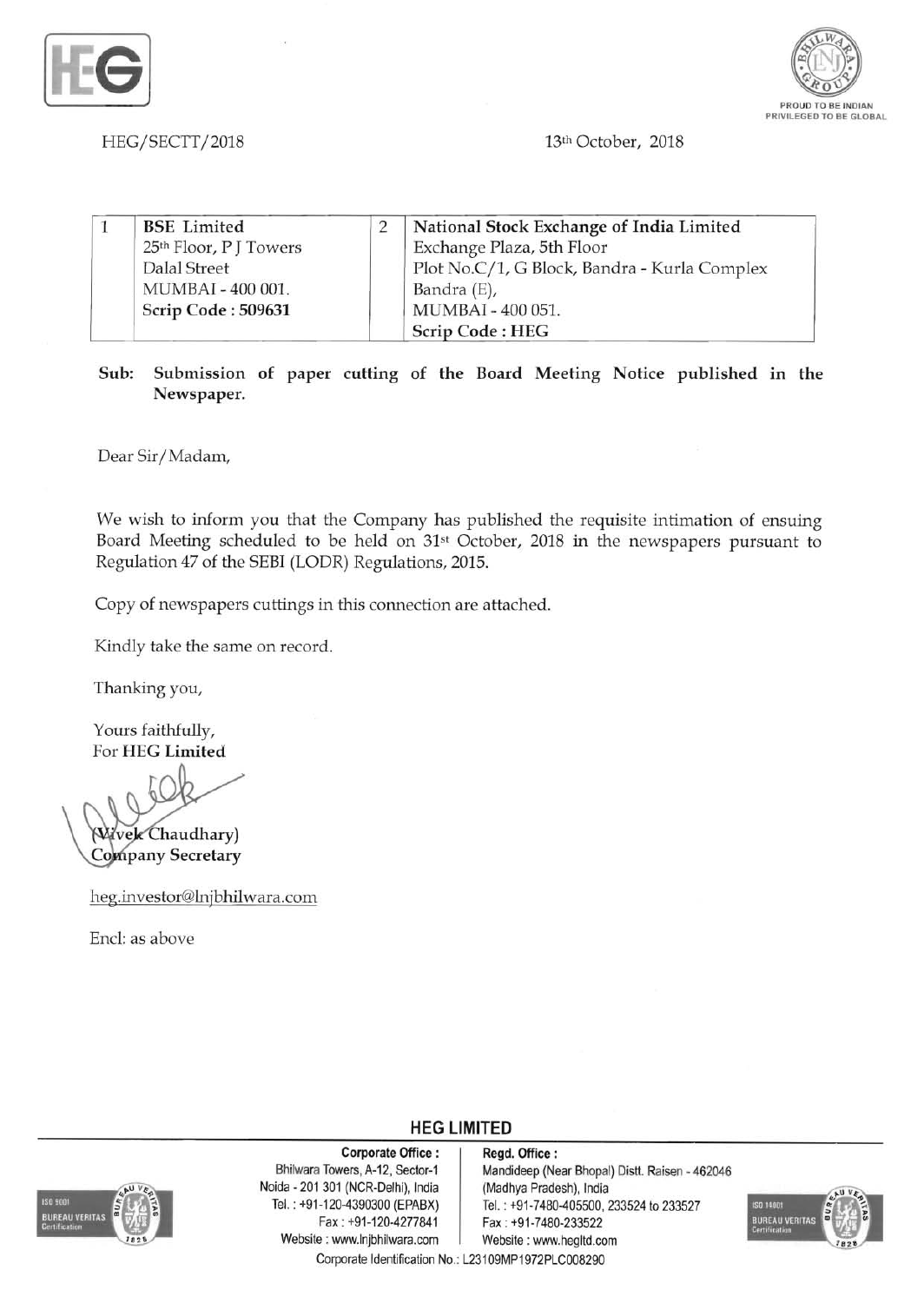



HEG/SECTT/2018 13th October, 2018

| <b>BSE</b> Limited     | National Stock Exchange of India Limited     |
|------------------------|----------------------------------------------|
| 25th Floor, P J Towers | Exchange Plaza, 5th Floor                    |
| Dalal Street           | Plot No.C/1, G Block, Bandra - Kurla Complex |
| MUMBAI - 400 001.      | Bandra (E),                                  |
| Scrip Code: 509631     | MUMBAI - 400 051.                            |
|                        | Scrip Code: HEG                              |

Sub: Submission of paper cutting of the Board Meeting Notice published in the Newspaper.

Dear Sir/Madam,

We wish to inform you that the Company has published the requisite intimation of ensuing Board Meeting scheduled to be held on 31st October, 2018 in the newspapers pursuant to Regulation 47 of the SEBI (LODR) Regulations, 2015.

Copy of newspapers cuttings in this connection are attached.

Kindly take the same on record.

Thanking you,

Yours faithfully, For HEG Limited

Wivek Chaudhary)

Company Secretary

heg.investor@lnjbhilwara.com

End: as above



Corporate Office: | Regd. Office: Noida - 201 301 (NCR-Delhi), India (Madhya Pradesh), India Website : www.lnjbhilwara.com | Website : www.hegltd.com

Bhilwara Towers, A-12, Sector-1 Mandideep (Near Bhopal) Distt. Raisen - 462046 Tel. : +91-120-4390300 (EPABX)<br>Fax : +91-120-4277841 | Fax : +91-7480-233522 Fax: +91-7480-233522



Corporate Identification No.: L23109MP1972PLC008290

**HEG LIMITED**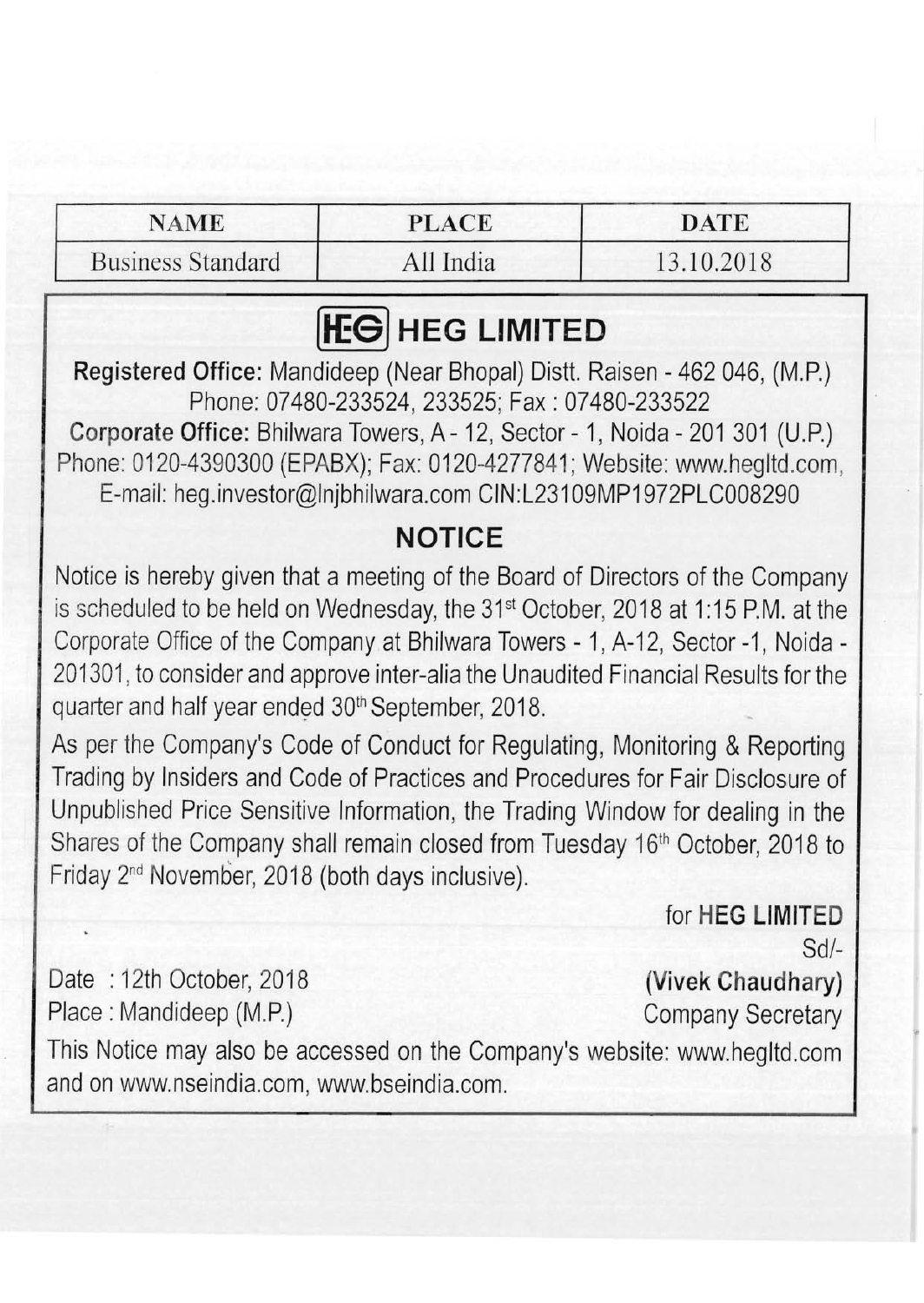### NAME PLACE DATE

Business Standard All India 13.10.2018

# **HEG LIMITED**

Registered Office: Mandideep (Near Bhopal) Distt. Raisen - 462 046, (M.P.) Phone: 07480-233524, 233525; Fax: 07480-233522

Corporate Office: Bhilwara Towers, A- 12, Sector - 1, Noida - 201 301 (U.P.) Phone: 0120-4390300 (EPABX); Fax: 0120-4277841; Website: www.hegltd.com, E-mail: heg.investor@lnjbhilwara.com CIN:L231 09MP1972PLC008290

## **NOTICE**

Notice is hereby given that a meeting of the Board of Directors of the Company is scheduled to be held on Wednesday, the  $31<sup>st</sup>$  October, 2018 at 1:15 P.M. at the Corporate Office of the Company at Bhilwara Towers - 1, A-12, Sector -1, Noida -201301, to consider and approve inter-alia the Unaudited Financial Results for the quarter and half year ended 30<sup>th</sup> September, 2018.

As per the Company's Code of Conduct for Regulating, Monitoring & Reporting Trading by Insiders and Code of Practices and Procedures for Fair Disclosure of Unpublished Price Sensitive Information, the Trading Window for dealing in the Shares of the Company shall remain closed from Tuesday 16<sup>th</sup> October, 2018 to Friday 2nd November, 2018 (both days inclusive).

> for **HEG LIMITED**   $Sd/-$

Date : 12th October, 2018 (Vivek Chaudhary) Place: Mandideep (M.P.) Company Secretary

This Notice may also be accessed on the Company's website: www.hegltd.com and on www.nseindia.com, www.bseindia.com.